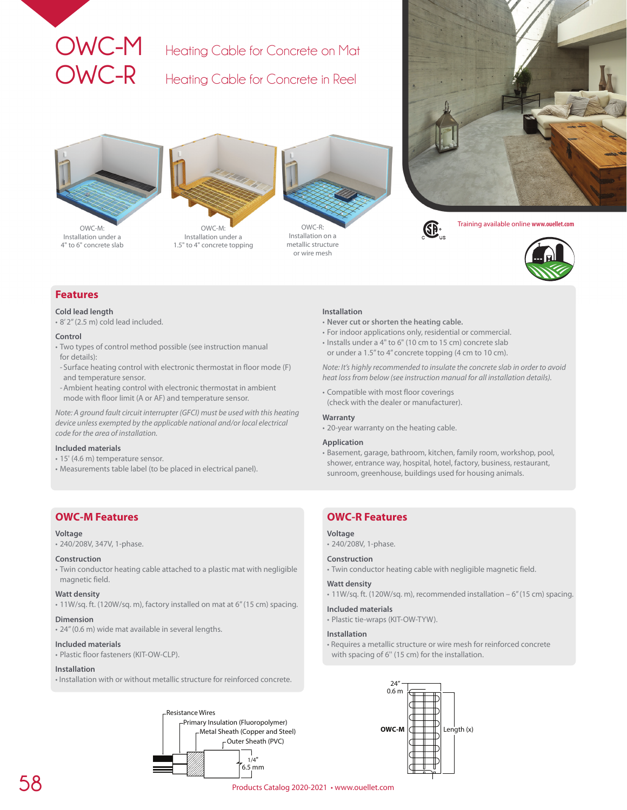# **OWC-M** Heating Cable for Concrete on Mat

**OWC-R** Heating Cable for Concrete in Reel



Installation under a 4" to 6" concrete slab



Installation under a 1.5" to 4" concrete topping



Installation on a metallic structure or wire mesh





Training available online **www.ouellet.com**



# **Features**

### **Cold lead length**

• 8' 2'' (2.5 m) cold lead included.

### **Control**

- Two types of control method possible (see instruction manual for details):
- Surface heating control with electronic thermostat in floor mode (F) and temperature sensor.
- -Ambient heating control with electronic thermostat in ambient mode with floor limit (A or AF) and temperature sensor.

*Note: A ground fault circuit interrupter (GFCI) must be used with this heating device unless exempted by the applicable national and/or local electrical code for the area of installation.*

### **Included materials**

- 15' (4.6 m) temperature sensor.
- Measurements table label (to be placed in electrical panel).

# **OWC-M Features**

### **Voltage**

• 240/208V, 347V, 1-phase.

### **Construction**

• Twin conductor heating cable attached to a plastic mat with negligible magnetic field.

### **Watt density**

• 11W/sq. ft. (120W/sq. m), factory installed on mat at 6'' (15 cm) spacing.

### **Dimension**

• 24'' (0.6 m) wide mat available in several lengths.

### **Included materials**

• Plastic floor fasteners (KIT-OW-CLP).

### **Installation**

• Installation with or without metallic structure for reinforced concrete.



### **Installation**

- **Never cut or shorten the heating cable.**
- For indoor applications only, residential or commercial.
- Installs under a 4" to 6" (10 cm to 15 cm) concrete slab or under a 1.5'' to 4'' concrete topping (4 cm to 10 cm).

*Note: It's highly recommended to insulate the concrete slab in order to avoid heat loss from below (see instruction manual for all installation details).*

• Compatible with most floor coverings (check with the dealer or manufacturer).

### **Warranty**

• 20-year warranty on the heating cable.

### **Application**

• Basement, garage, bathroom, kitchen, family room, workshop, pool, shower, entrance way, hospital, hotel, factory, business, restaurant, sunroom, greenhouse, buildings used for housing animals.

# **OWC-R Features**

## **Voltage**

• 240/208V, 1-phase.

### **Construction**

• Twin conductor heating cable with negligible magnetic field.

### **Watt density**

- 11W/sq. ft. (120W/sq. m), recommended installation 6'' (15 cm) spacing.
- **Included materials**

• Plastic tie-wraps (KIT-OW-TYW).

## **Installation**

• Requires a metallic structure or wire mesh for reinforced concrete with spacing of 6'' (15 cm) for the installation.